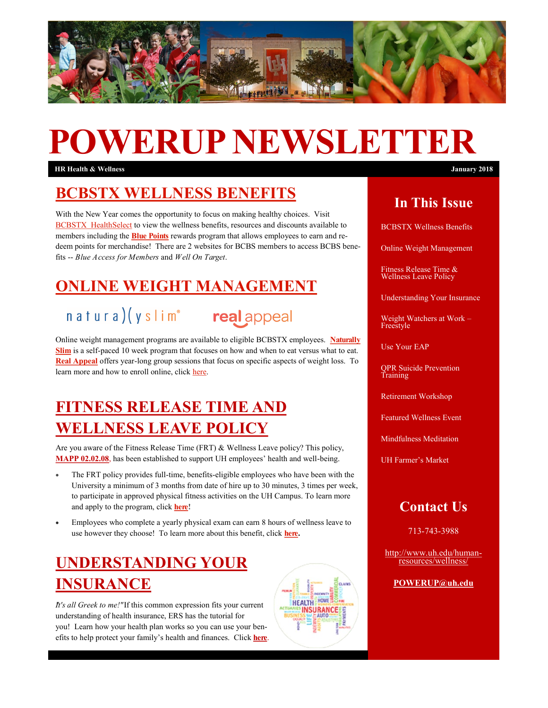

# **POWERUP NEWSLETTER**

**HR Health & Wellness January 2018**

### **[BCBSTX WELLNESS BENEFITS](https://healthselect.bcbstx.com/)**

With the New Year comes the opportunity to focus on making healthy choices. Visit [BCBSTX HealthSelect](https://healthselect.bcbstx.com/) to view the wellness benefits, resources and discounts available to members including the **[Blue Points](https://healthselect.bcbstx.com/content/health-and-wellness-incentives/blue-points)** rewards program that allows employees to earn and redeem points for merchandise! There are 2 websites for BCBS members to access BCBS benefits -- *Blue Access for Members* and *Well On Target*.

## **[ONLINE WEIGHT MANAGEMENT](https://healthselect.bcbstx.com/content/health-and-wellness-incentives/weight-management-programs)**

# natura)(yslim<sup>®</sup> realappeal



**HEALTH HOME! INSURANCE** 

Online weight management programs are available to eligible BCBSTX employees. **[Naturally](https://healthselect.bcbstx.com/pdf/publications-and-forms/revised-ns-flyer-newyou.pdf)  [Slim](https://healthselect.bcbstx.com/pdf/publications-and-forms/revised-ns-flyer-newyou.pdf)** is a self-paced 10 week program that focuses on how and when to eat versus what to eat. **[Real Appeal](https://healthselect.bcbstx.com/pdf/publications-and-forms/ra_8.5x11flyernewyear-healthselect.pdf)** offers year-long group sessions that focus on specific aspects of weight loss. To learn more and how to enroll online, click [here.](https://healthselect.bcbstx.com/content/health-and-wellness-incentives/weight-management-programs)

# **[FITNESS RELEASE TIME AND](http://www.uh.edu/human-resources/wellness/Fitness%20Release%20Time/index1.php)  [WELLNESS LEAVE POLICY](http://www.uh.edu/human-resources/wellness/Fitness%20Release%20Time/index1.php)**

Are you aware of the Fitness Release Time (FRT) & Wellness Leave policy? This policy, **[MAPP 02.02.08](http://www.uh.edu/af/universityservices/policies/mapp/02/020208.pdf)**, has been established to support UH employees' health and well-being.

- The FRT policy provides full-time, benefits-eligible employees who have been with the University a minimum of 3 months from date of hire up to 30 minutes, 3 times per week, to participate in approved physical fitness activities on the UH Campus. To learn more and apply to the program, [click](http://www.uh.edu/human-resources/wellness/Fitness%20Release%20Time/index1.php) **here!**
- Employees who complete a yearly physical exam can earn 8 hours of wellness leave to use however they choose! To learn more about this benefit, click **[here.](http://www.uh.edu/human-resources/wellness/Fitness%20Release%20Time/index1.php)**

# **[UNDERSTANDING YOUR](https://www.ers.texas.gov/Active-Employees/News-About-Your-Benefits/PPO-HMO-Point-of-service-HDHP-What-does-it-all-mean)  [INSURANCE](https://www.ers.texas.gov/Active-Employees/News-About-Your-Benefits/PPO-HMO-Point-of-service-HDHP-What-does-it-all-mean)**

*"It's all Greek to me!"*If this common expression fits your current understanding of health insurance, ERS has the tutorial for you! Learn how your health plan works so you can use your benefits to help protect your family's health and finances. Click **[here](https://www.ers.texas.gov/Active-Employees/News-About-Your-Benefits/PPO-HMO-Point-of-service-HDHP-What-does-it-all-mean)**.

#### **In This Issue**

BCBSTX Wellness Benefits

Online Weight Management

Fitness Release Time & Wellness Leave Policy

Understanding Your Insurance

Weight Watchers at Work – Freestyle

Use Your EAP

QPR Suicide Prevention Training

Retirement Workshop

Featured Wellness Event

Mindfulness Meditation

UH Farmer's Market

#### **Contact Us**

713-743-3988

[http://www.uh.edu/human](http://uhhelpdesk.custhelp.com/rd?1=AvNw~wqPDv8S~x7zGl1m~yKZAFsohC77Mv~m~z7~Pv8v&2=26669)[resources/wellness/](http://uhhelpdesk.custhelp.com/rd?1=AvNw~wqPDv8S~x7zGl1m~yKZAFsohC77Mv~m~z7~Pv8v&2=26669)